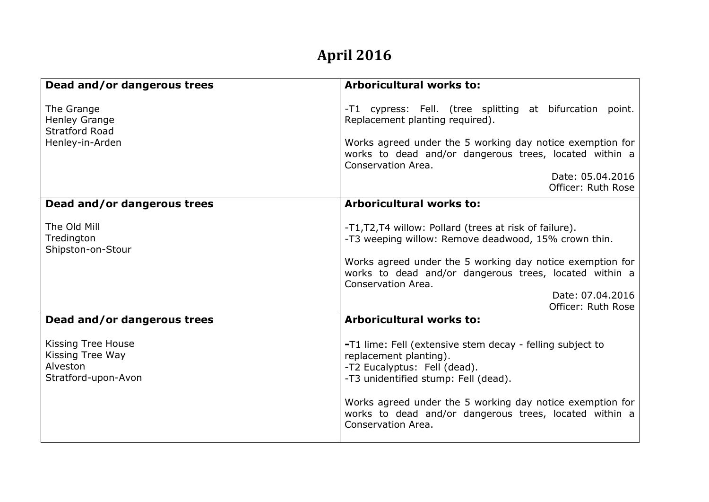## **April 2016**

| Dead and/or dangerous trees                                               | <b>Arboricultural works to:</b>                                                                                                                                                                                                                                                                          |
|---------------------------------------------------------------------------|----------------------------------------------------------------------------------------------------------------------------------------------------------------------------------------------------------------------------------------------------------------------------------------------------------|
| The Grange<br>Henley Grange<br><b>Stratford Road</b><br>Henley-in-Arden   | -T1 cypress: Fell. (tree splitting at bifurcation point.<br>Replacement planting required).<br>Works agreed under the 5 working day notice exemption for<br>works to dead and/or dangerous trees, located within a<br>Conservation Area.                                                                 |
|                                                                           | Date: 05.04.2016<br>Officer: Ruth Rose                                                                                                                                                                                                                                                                   |
| Dead and/or dangerous trees                                               | Arboricultural works to:                                                                                                                                                                                                                                                                                 |
| The Old Mill<br>Tredington<br>Shipston-on-Stour                           | -T1, T2, T4 willow: Pollard (trees at risk of failure).<br>-T3 weeping willow: Remove deadwood, 15% crown thin.<br>Works agreed under the 5 working day notice exemption for<br>works to dead and/or dangerous trees, located within a<br>Conservation Area.<br>Date: 07.04.2016<br>Officer: Ruth Rose   |
| Dead and/or dangerous trees                                               | Arboricultural works to:                                                                                                                                                                                                                                                                                 |
| Kissing Tree House<br>Kissing Tree Way<br>Alveston<br>Stratford-upon-Avon | -T1 lime: Fell (extensive stem decay - felling subject to<br>replacement planting).<br>-T2 Eucalyptus: Fell (dead).<br>-T3 unidentified stump: Fell (dead).<br>Works agreed under the 5 working day notice exemption for<br>works to dead and/or dangerous trees, located within a<br>Conservation Area. |